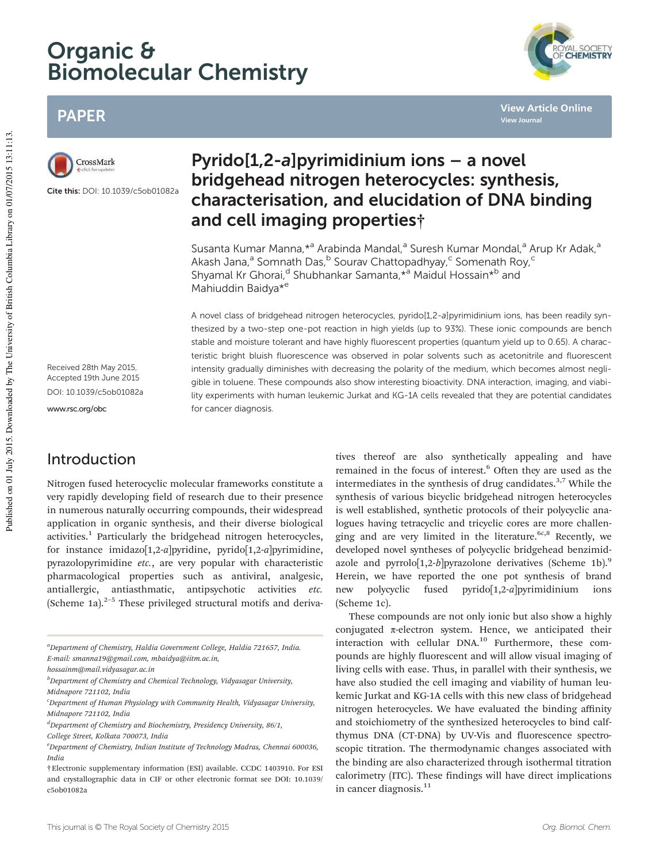# Organic & Biomolecular Chemistry



**View Article Online**

**View Journal**

## PAPER



Cite this: DOI: 10.1039/c5ob01082a

Received 28th May 2015, Accepted 19th June 2015 DOI: 10.1039/c5ob01082a

www.rsc.org/obc

## Introduction

Nitrogen fused heterocyclic molecular frameworks constitute a very rapidly developing field of research due to their presence in numerous naturally occurring compounds, their widespread application in organic synthesis, and their diverse biological activities.<sup>1</sup> Particularly the bridgehead nitrogen heterocycles, for instance imidazo[1,2-*a*]pyridine, pyrido[1,2-*a*]pyrimidine, pyrazolopyrimidine *etc.*, are very popular with characteristic pharmacological properties such as antiviral, analgesic, antiallergic, antiasthmatic, antipsychotic activities *etc.* (Scheme 1a).<sup>2-5</sup> These privileged structural motifs and deriva-

## Pyrido[1,2-a]pyrimidinium ions – a novel bridgehead nitrogen heterocycles: synthesis, characterisation, and elucidation of DNA binding and cell imaging properties†

Susanta Kumar Manna, \*<sup>a</sup> Arabinda Mandal, <sup>a</sup> Suresh Kumar Mondal, <sup>a</sup> Arup Kr Adak, <sup>a</sup> Akash Jana,<sup>a</sup> Somnath Das,<sup>b</sup> Sourav Chattopadhyay,<sup>c</sup> Somenath Roy,<sup>c</sup> Shyamal Kr Ghorai,<sup>d</sup> Shubhankar Samanta, \*<sup>a</sup> Maidul Hossain\*<sup>b</sup> and Mahiuddin Baidya\*<sup>e</sup>

A novel class of bridgehead nitrogen heterocycles, pyrido[1,2-a]pyrimidinium ions, has been readily synthesized by a two-step one-pot reaction in high yields (up to 93%). These ionic compounds are bench stable and moisture tolerant and have highly fluorescent properties (quantum yield up to 0.65). A characteristic bright bluish fluorescence was observed in polar solvents such as acetonitrile and fluorescent intensity gradually diminishes with decreasing the polarity of the medium, which becomes almost negligible in toluene. These compounds also show interesting bioactivity. DNA interaction, imaging, and viability experiments with human leukemic Jurkat and KG-1A cells revealed that they are potential candidates for cancer diagnosis.

> tives thereof are also synthetically appealing and have remained in the focus of interest.<sup>6</sup> Often they are used as the intermediates in the synthesis of drug candidates. $3,7$  While the synthesis of various bicyclic bridgehead nitrogen heterocycles is well established, synthetic protocols of their polycyclic analogues having tetracyclic and tricyclic cores are more challenging and are very limited in the literature.<sup>6*c*,8</sup> Recently, we developed novel syntheses of polycyclic bridgehead benzimidazole and pyrrolo[1,2-*b*]pyrazolone derivatives (Scheme 1b).<sup>9</sup> Herein, we have reported the one pot synthesis of brand new polycyclic fused pyrido[1,2-*a*]pyrimidinium ions (Scheme 1c).

> These compounds are not only ionic but also show a highly conjugated  $\pi$ -electron system. Hence, we anticipated their interaction with cellular DNA.<sup>10</sup> Furthermore, these compounds are highly fluorescent and will allow visual imaging of living cells with ease. Thus, in parallel with their synthesis, we have also studied the cell imaging and viability of human leukemic Jurkat and KG-1A cells with this new class of bridgehead nitrogen heterocycles. We have evaluated the binding affinity and stoichiometry of the synthesized heterocycles to bind calfthymus DNA (CT-DNA) by UV-Vis and fluorescence spectroscopic titration. The thermodynamic changes associated with the binding are also characterized through isothermal titration calorimetry (ITC). These findings will have direct implications in cancer diagnosis.<sup>11</sup>

*<sup>a</sup>Department of Chemistry, Haldia Government College, Haldia 721657, India. E-mail: smanna19@gmail.com, mbaidya@iitm.ac.in,*

*hossainm@mail.vidyasagar.ac.in*

*<sup>b</sup>Department of Chemistry and Chemical Technology, Vidyasagar University, Midnapore 721102, India*

*<sup>c</sup>Department of Human Physiology with Community Health, Vidyasagar University, Midnapore 721102, India*

*<sup>d</sup>Department of Chemistry and Biochemistry, Presidency University, 86/1,*

*College Street, Kolkata 700073, India*

*<sup>e</sup>Department of Chemistry, Indian Institute of Technology Madras, Chennai 600036, India*

<sup>†</sup>Electronic supplementary information (ESI) available. CCDC 1403910. For ESI and crystallographic data in CIF or other electronic format see DOI: 10.1039/ c5ob01082a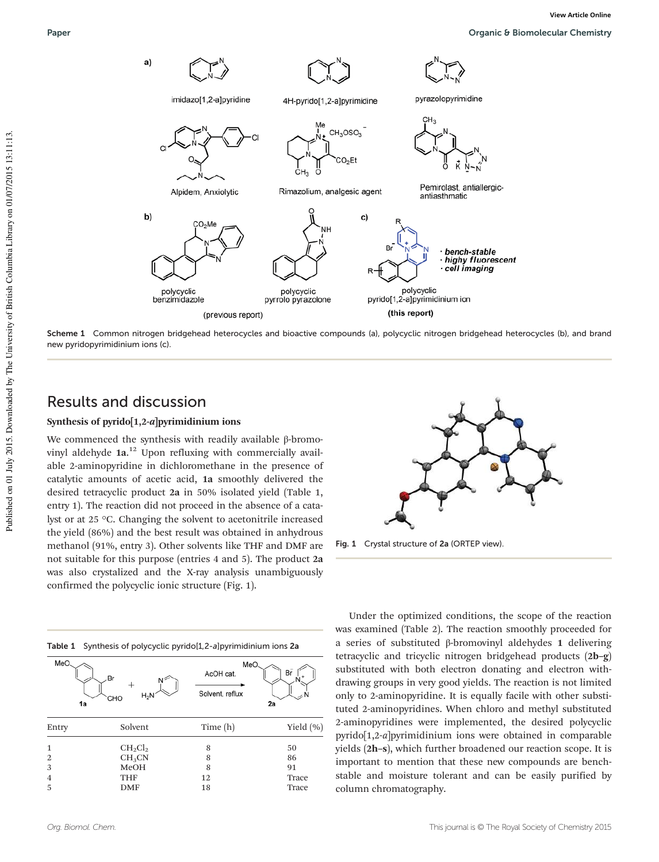

Scheme 1 Common nitrogen bridgehead heterocycles and bioactive compounds (a), polycyclic nitrogen bridgehead heterocycles (b), and brand new pyridopyrimidinium ions (c).

## Results and discussion

#### Synthesis of pyrido $[1,2-a]$ pyrimidinium ions

We commenced the synthesis with readily available β-bromovinyl aldehyde 1a. <sup>12</sup> Upon refluxing with commercially available 2-aminopyridine in dichloromethane in the presence of catalytic amounts of acetic acid, 1a smoothly delivered the desired tetracyclic product 2a in 50% isolated yield (Table 1, entry 1). The reaction did not proceed in the absence of a catalyst or at 25 °C. Changing the solvent to acetonitrile increased the yield (86%) and the best result was obtained in anhydrous methanol (91%, entry 3). Other solvents like THF and DMF are not suitable for this purpose (entries 4 and 5). The product 2a was also crystalized and the X-ray analysis unambiguously confirmed the polycyclic ionic structure (Fig. 1).

|  |  |  | Table 1 Synthesis of polycyclic pyrido[1,2-a]pyrimidinium ions 2a |  |
|--|--|--|-------------------------------------------------------------------|--|
|--|--|--|-------------------------------------------------------------------|--|

| MeO.<br>1a     | Br<br>N<br>$H_2N$<br>CHO | MeO<br>AcOH cat.<br>Solvent, reflux | Br<br>2a      |
|----------------|--------------------------|-------------------------------------|---------------|
| Entry          | Solvent                  | Time $(h)$                          | Yield $(\% )$ |
| $\mathbf{1}$   | $CH_2Cl_2$               | 8                                   | 50            |
| $\overline{2}$ | CH <sub>3</sub> CN       | 8                                   | 86            |
| 3              | MeOH                     | 8                                   | 91            |
| $\overline{4}$ | <b>THF</b>               | 12                                  | Trace         |
| 5              | <b>DMF</b>               | 18                                  | Trace         |



Fig. 1 Crystal structure of 2a (ORTEP view)

Under the optimized conditions, the scope of the reaction was examined (Table 2). The reaction smoothly proceeded for a series of substituted β-bromovinyl aldehydes 1 delivering tetracyclic and tricyclic nitrogen bridgehead products (2b–g) substituted with both electron donating and electron withdrawing groups in very good yields. The reaction is not limited only to 2-aminopyridine. It is equally facile with other substituted 2-aminopyridines. When chloro and methyl substituted 2-aminopyridines were implemented, the desired polycyclic pyrido[1,2-*a*]pyrimidinium ions were obtained in comparable yields (2h–s), which further broadened our reaction scope. It is important to mention that these new compounds are benchstable and moisture tolerant and can be easily purified by column chromatography.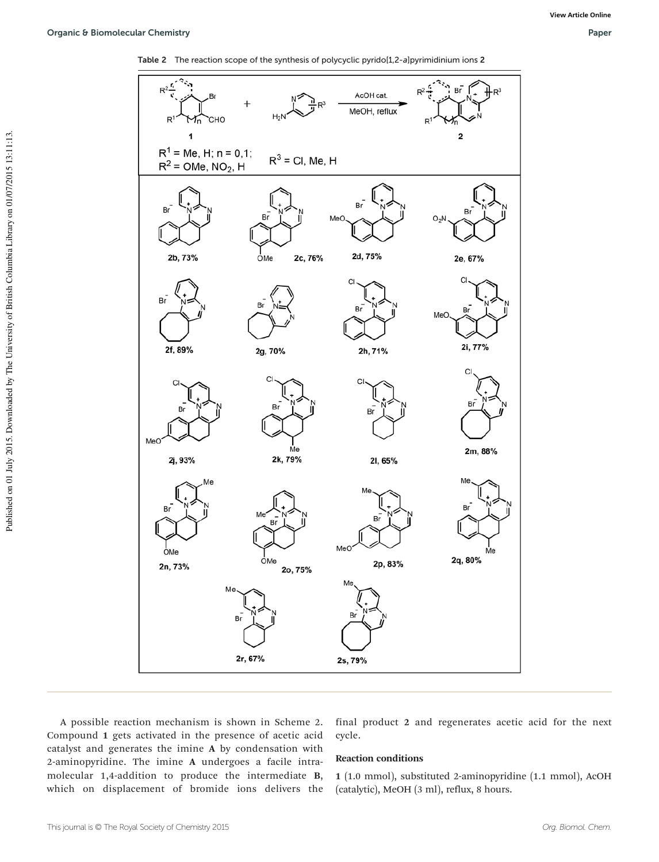



A possible reaction mechanism is shown in Scheme 2. Compound 1 gets activated in the presence of acetic acid catalyst and generates the imine A by condensation with 2-aminopyridine. The imine A undergoes a facile intramolecular 1,4-addition to produce the intermediate B, which on displacement of bromide ions delivers the

final product 2 and regenerates acetic acid for the next cycle.

#### Reaction conditions

1 (1.0 mmol), substituted 2-aminopyridine (1.1 mmol), AcOH (catalytic), MeOH (3 ml), reflux, 8 hours.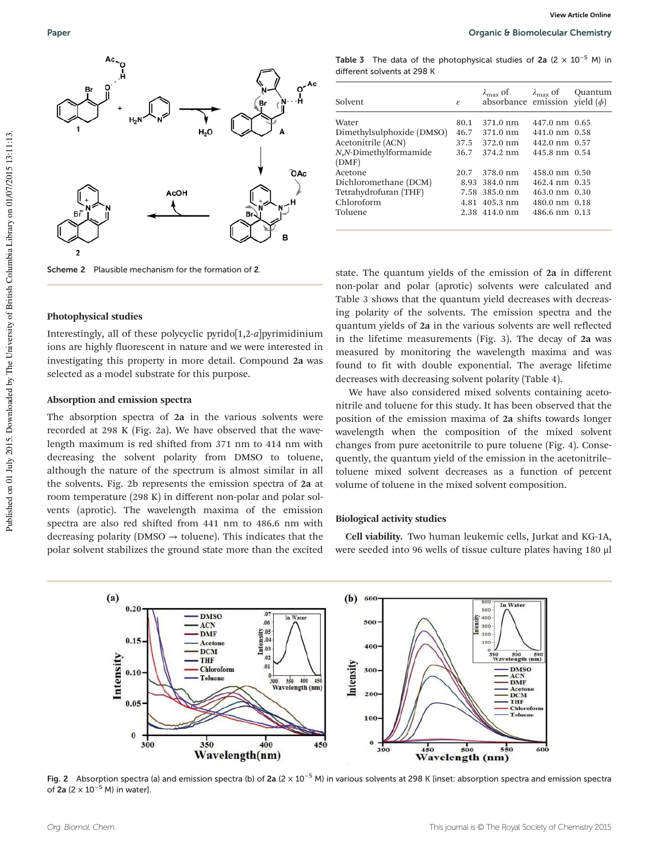

Scheme 2 Plausible mechanism for the formation of 2.

#### Photophysical studies

Interestingly, all of these polycyclic pyrido[1,2-*a*]pyrimidinium ions are highly fluorescent in nature and we were interested in investigating this property in more detail. Compound 2a was selected as a model substrate for this purpose.

#### Absorption and emission spectra

The absorption spectra of 2a in the various solvents were recorded at 298 K (Fig. 2a). We have observed that the wavelength maximum is red shifted from 371 nm to 414 nm with decreasing the solvent polarity from DMSO to toluene, although the nature of the spectrum is almost similar in all the solvents. Fig. 2b represents the emission spectra of 2a at room temperature (298 K) in different non-polar and polar solvents (aprotic). The wavelength maxima of the emission spectra are also red shifted from 441 nm to 486.6 nm with decreasing polarity (DMSO  $\rightarrow$  toluene). This indicates that the polar solvent stabilizes the ground state more than the excited

Table 3 The data of the photophysical studies of 2a (2  $\times$  10<sup>-5</sup> M) in different solvents at 298 K

| Solvent                   | $\mathcal{E}$ | $\lambda_{\text{max}}$ of $\lambda_{\text{max}}$ of<br>absorbance emission yield $(\phi)$ |                         | Ouantum |
|---------------------------|---------------|-------------------------------------------------------------------------------------------|-------------------------|---------|
| Water                     | 80.1          | 371.0 nm                                                                                  | 447.0 nm 0.65           |         |
| Dimethylsulphoxide (DMSO) |               | 46.7 371.0 nm                                                                             | 441.0 nm 0.58           |         |
| Acetonitrile (ACN)        |               | 37.5 372.0 nm                                                                             | 442.0 nm 0.57           |         |
| N,N-Dimethylformamide     | 36.7          | 374.2 nm                                                                                  | 445.8 nm 0.54           |         |
| (DMF)                     |               |                                                                                           |                         |         |
| Acetone                   | 20.7          | 378.0 nm                                                                                  | $458.0 \text{ nm}$ 0.50 |         |
| Dichloromethane (DCM)     |               | 8.93 384.0 nm                                                                             | 462.4 nm 0.35           |         |
| Tetrahydrofuran (THF)     |               | 7.58 385.0 nm                                                                             | 463.0 nm 0.30           |         |
| Chloroform                |               | 4.81 405.3 nm                                                                             | 480.0 nm 0.18           |         |
| Toluene                   |               | 2.38 414.0 nm                                                                             | 486.6 nm 0.13           |         |
|                           |               |                                                                                           |                         |         |

state. The quantum yields of the emission of 2a in different non-polar and polar (aprotic) solvents were calculated and Table 3 shows that the quantum yield decreases with decreasing polarity of the solvents. The emission spectra and the quantum yields of 2a in the various solvents are well reflected in the lifetime measurements (Fig. 3). The decay of 2a was measured by monitoring the wavelength maxima and was found to fit with double exponential. The average lifetime decreases with decreasing solvent polarity (Table 4).

We have also considered mixed solvents containing acetonitrile and toluene for this study. It has been observed that the position of the emission maxima of 2a shifts towards longer wavelength when the composition of the mixed solvent changes from pure acetonitrile to pure toluene (Fig. 4). Consequently, the quantum yield of the emission in the acetonitrile– toluene mixed solvent decreases as a function of percent volume of toluene in the mixed solvent composition.

#### Biological activity studies

Cell viability. Two human leukemic cells, Jurkat and KG-1A, were seeded into 96 wells of tissue culture plates having 180 μl



of 2a (2  $\times$  10<sup>-5</sup> M) in water].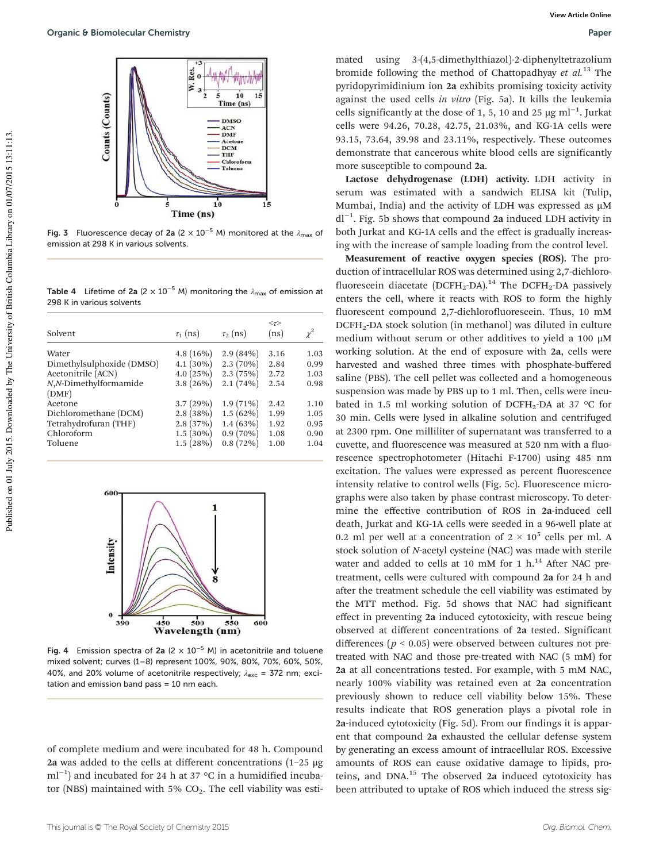

Fig. 3 Fluorescence decay of 2a (2  $\times$  10<sup>-5</sup> M) monitored at the  $\lambda_{\text{max}}$  of emission at 298 K in various solvents.

Table 4 Lifetime of 2a (2 × 10<sup>-5</sup> M) monitoring the  $\lambda_{\text{max}}$  of emission at 298 K in various solvents

| Solvent                   | $\tau_1$ (ns) | $\tau_2$ (ns) | $\langle \tau \rangle$<br>(ns) | $\chi^2$ |
|---------------------------|---------------|---------------|--------------------------------|----------|
| Water                     | $4.8(16\%)$   | $2.9(84\%)$   | 3.16                           | 1.03     |
| Dimethylsulphoxide (DMSO) | $4.1(30\%)$   | $2.3(70\%)$   | 2.84                           | 0.99     |
| Acetonitrile (ACN)        | 4.0(25%)      | 2.3(75%)      | 2.72                           | 1.03     |
| N,N-Dimethylformamide     | $3.8(26\%)$   | 2.1(74%)      | 2.54                           | 0.98     |
| (DMF)                     |               |               |                                |          |
| Acetone                   | 3.7(29%)      | $1.9(71\%)$   | 2.42                           | 1.10     |
| Dichloromethane (DCM)     | 2.8(38%)      | $1.5(62\%)$   | 1.99                           | 1.05     |
| Tetrahydrofuran (THF)     | 2.8(37%)      | $1.4(63\%)$   | 1.92                           | 0.95     |
| Chloroform                | $1.5(30\%)$   | $0.9(70\%)$   | 1.08                           | 0.90     |
| Toluene                   | 1.5(28%)      | 0.8(72%)      | 1.00                           | 1.04     |
|                           |               |               |                                |          |



Fig. 4 Emission spectra of 2a (2  $\times$  10<sup>-5</sup> M) in acetonitrile and toluene mixed solvent; curves (1–8) represent 100%, 90%, 80%, 70%, 60%, 50%, 40%, and 20% volume of acetonitrile respectively;  $\lambda_{\text{exc}} = 372$  nm; excitation and emission band pass = 10 nm each.

of complete medium and were incubated for 48 h. Compound 2a was added to the cells at different concentrations (1–25 μg ml<sup>-1</sup>) and incubated for 24 h at 37 °C in a humidified incubator (NBS) maintained with 5%  $CO<sub>2</sub>$ . The cell viability was estimated using 3-(4,5-dimethylthiazol)-2-diphenyltetrazolium bromide following the method of Chattopadhyay *et al.*<sup>13</sup> The pyridopyrimidinium ion 2a exhibits promising toxicity activity against the used cells *in vitro* (Fig. 5a). It kills the leukemia cells significantly at the dose of 1, 5, 10 and 25 µg ml<sup>-1</sup>. Jurkat cells were 94.26, 70.28, 42.75, 21.03%, and KG-1A cells were 93.15, 73.64, 39.98 and 23.11%, respectively. These outcomes demonstrate that cancerous white blood cells are significantly more susceptible to compound 2a.

Lactose dehydrogenase (LDH) activity. LDH activity in serum was estimated with a sandwich ELISA kit (Tulip, Mumbai, India) and the activity of LDH was expressed as  $\mu$ M dl−<sup>1</sup> . Fig. 5b shows that compound 2a induced LDH activity in both Jurkat and KG-1A cells and the effect is gradually increasing with the increase of sample loading from the control level.

Measurement of reactive oxygen species (ROS). The production of intracellular ROS was determined using 2,7-dichlorofluorescein diacetate (DCFH<sub>2</sub>-DA).<sup>14</sup> The DCFH<sub>2</sub>-DA passively enters the cell, where it reacts with ROS to form the highly fluorescent compound 2,7-dichlorofluorescein. Thus, 10 mM DCFH<sub>2</sub>-DA stock solution (in methanol) was diluted in culture medium without serum or other additives to yield a 100 μM working solution. At the end of exposure with 2a, cells were harvested and washed three times with phosphate-buffered saline (PBS). The cell pellet was collected and a homogeneous suspension was made by PBS up to 1 ml. Then, cells were incubated in 1.5 ml working solution of DCFH<sub>2</sub>-DA at 37  $\,^{\circ}$ C for 30 min. Cells were lysed in alkaline solution and centrifuged at 2300 rpm. One milliliter of supernatant was transferred to a cuvette, and fluorescence was measured at 520 nm with a fluorescence spectrophotometer (Hitachi F-1700) using 485 nm excitation. The values were expressed as percent fluorescence intensity relative to control wells (Fig. 5c). Fluorescence micrographs were also taken by phase contrast microscopy. To determine the effective contribution of ROS in 2a-induced cell death, Jurkat and KG-1A cells were seeded in a 96-well plate at 0.2 ml per well at a concentration of  $2 \times 10^5$  cells per ml. A stock solution of *N*-acetyl cysteine (NAC) was made with sterile water and added to cells at 10 mM for 1  $h$ .<sup>14</sup> After NAC pretreatment, cells were cultured with compound 2a for 24 h and after the treatment schedule the cell viability was estimated by the MTT method. Fig. 5d shows that NAC had significant effect in preventing 2a induced cytotoxicity, with rescue being observed at different concentrations of 2a tested. Significant differences ( $p < 0.05$ ) were observed between cultures not pretreated with NAC and those pre-treated with NAC (5 mM) for 2a at all concentrations tested. For example, with 5 mM NAC, nearly 100% viability was retained even at 2a concentration previously shown to reduce cell viability below 15%. These results indicate that ROS generation plays a pivotal role in 2a-induced cytotoxicity (Fig. 5d). From our findings it is apparent that compound 2a exhausted the cellular defense system by generating an excess amount of intracellular ROS. Excessive amounts of ROS can cause oxidative damage to lipids, proteins, and DNA.<sup>15</sup> The observed 2a induced cytotoxicity has been attributed to uptake of ROS which induced the stress sig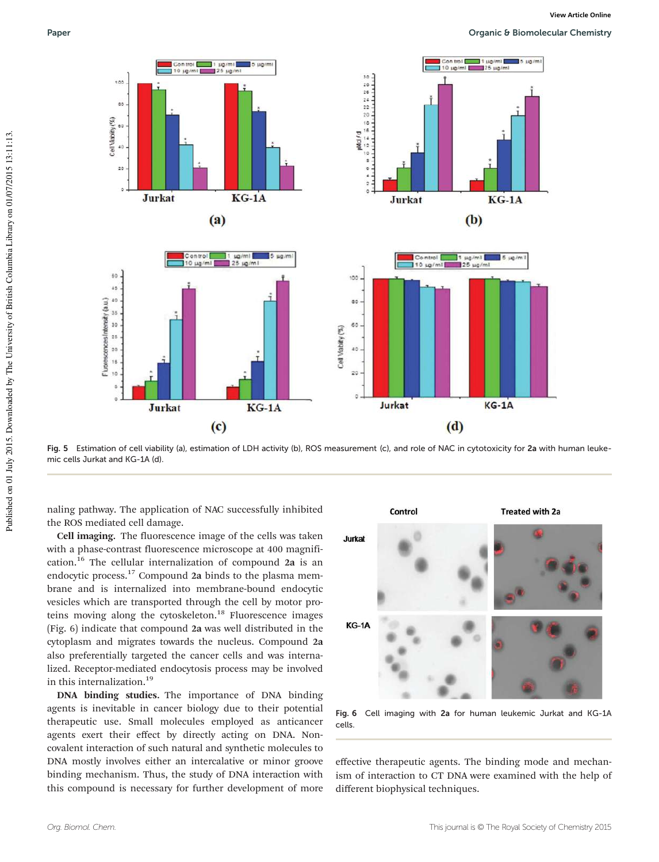Paper **Paper Paper Paper Paper Paper Paper Paper Chemistry Organic & Biomolecular Chemistry** 



Fig. 5 Estimation of cell viability (a), estimation of LDH activity (b), ROS measurement (c), and role of NAC in cytotoxicity for 2a with human leukemic cells Jurkat and KG-1A (d).

naling pathway. The application of NAC successfully inhibited the ROS mediated cell damage.

Cell imaging. The fluorescence image of the cells was taken with a phase-contrast fluorescence microscope at 400 magnification.<sup>16</sup> The cellular internalization of compound 2a is an endocytic process.<sup>17</sup> Compound 2a binds to the plasma membrane and is internalized into membrane-bound endocytic vesicles which are transported through the cell by motor proteins moving along the cytoskeleton.<sup>18</sup> Fluorescence images (Fig. 6) indicate that compound 2a was well distributed in the cytoplasm and migrates towards the nucleus. Compound 2a also preferentially targeted the cancer cells and was internalized. Receptor-mediated endocytosis process may be involved in this internalization.<sup>19</sup>

DNA binding studies. The importance of DNA binding agents is inevitable in cancer biology due to their potential therapeutic use. Small molecules employed as anticancer agents exert their effect by directly acting on DNA. Noncovalent interaction of such natural and synthetic molecules to DNA mostly involves either an intercalative or minor groove binding mechanism. Thus, the study of DNA interaction with this compound is necessary for further development of more



Fig. 6 Cell imaging with 2a for human leukemic Jurkat and KG-1A cells.

effective therapeutic agents. The binding mode and mechanism of interaction to CT DNA were examined with the help of different biophysical techniques.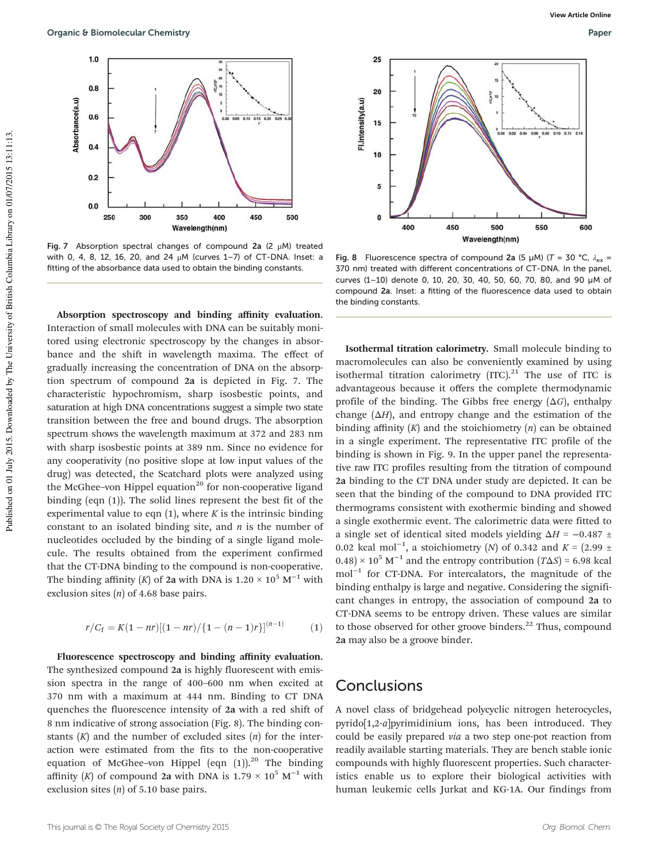

Fig. 7 Absorption spectral changes of compound 2a (2  $\mu$ M) treated with 0, 4, 8, 12, 16, 20, and 24 μM (curves 1–7) of CT-DNA. Inset: a fitting of the absorbance data used to obtain the binding constants.

Absorption spectroscopy and binding affinity evaluation. Interaction of small molecules with DNA can be suitably monitored using electronic spectroscopy by the changes in absorbance and the shift in wavelength maxima. The effect of gradually increasing the concentration of DNA on the absorption spectrum of compound 2a is depicted in Fig. 7. The characteristic hypochromism, sharp isosbestic points, and saturation at high DNA concentrations suggest a simple two state transition between the free and bound drugs. The absorption spectrum shows the wavelength maximum at 372 and 283 nm with sharp isosbestic points at 389 nm. Since no evidence for any cooperativity (no positive slope at low input values of the drug) was detected, the Scatchard plots were analyzed using the McGhee-von Hippel equation<sup>20</sup> for non-cooperative ligand binding (eqn (1)). The solid lines represent the best fit of the experimental value to eqn  $(1)$ , where *K* is the intrinsic binding constant to an isolated binding site, and *n* is the number of nucleotides occluded by the binding of a single ligand molecule. The results obtained from the experiment confirmed that the CT-DNA binding to the compound is non-cooperative. The binding affinity (*K*) of 2a with DNA is  $1.20 \times 10^5$  M<sup>-1</sup> with exclusion sites (*n*) of 4.68 base pairs.

$$
r/C_f = K(1-nr)[(1-nr)/\{1-(n-1)r\}]^{(n-1)}
$$
 (1)

Fluorescence spectroscopy and binding affinity evaluation. The synthesized compound 2a is highly fluorescent with emission spectra in the range of 400–600 nm when excited at 370 nm with a maximum at 444 nm. Binding to CT DNA quenches the fluorescence intensity of 2a with a red shift of 8 nm indicative of strong association (Fig. 8). The binding constants (*K*) and the number of excluded sites (*n*) for the interaction were estimated from the fits to the non-cooperative equation of McGhee-von Hippel (eqn  $(1)$ ).<sup>20</sup> The binding affinity (*K*) of compound 2a with DNA is  $1.79 \times 10^5$  M<sup>-1</sup> with exclusion sites (*n*) of 5.10 base pairs.



Fig. 8 Fluorescence spectra of compound 2a (5 µM) (T = 30 °C,  $\lambda_{ex}$  = 370 nm) treated with different concentrations of CT-DNA. In the panel, curves (1–10) denote 0, 10, 20, 30, 40, 50, 60, 70, 80, and 90 µM of compound 2a. Inset: a fitting of the fluorescence data used to obtain the binding constants.

Isothermal titration calorimetry. Small molecule binding to macromolecules can also be conveniently examined by using isothermal titration calorimetry  $[ITC]$ .<sup>21</sup> The use of ITC is advantageous because it offers the complete thermodynamic profile of the binding. The Gibbs free energy (Δ*G*), enthalpy change  $(\Delta H)$ , and entropy change and the estimation of the binding affinity (*K*) and the stoichiometry (*n*) can be obtained in a single experiment. The representative ITC profile of the binding is shown in Fig. 9. In the upper panel the representative raw ITC profiles resulting from the titration of compound 2a binding to the CT DNA under study are depicted. It can be seen that the binding of the compound to DNA provided ITC thermograms consistent with exothermic binding and showed a single exothermic event. The calorimetric data were fitted to a single set of identical sited models yielding  $\Delta H = -0.487 \pm$ 0.02 kcal mol−<sup>1</sup> , a stoichiometry (*N*) of 0.342 and *K* = (2.99 ±  $(0.48) \times 10^5$  M<sup>-1</sup> and the entropy contribution  $(T\Delta S) = 6.98$  kcal mol<sup>-1</sup> for CT-DNA. For intercalators, the magnitude of the binding enthalpy is large and negative. Considering the significant changes in entropy, the association of compound 2a to CT-DNA seems to be entropy driven. These values are similar to those observed for other groove binders.<sup>22</sup> Thus, compound 2a may also be a groove binder.

## **Conclusions**

A novel class of bridgehead polycyclic nitrogen heterocycles, pyrido[1,2-*a*]pyrimidinium ions, has been introduced. They could be easily prepared *via* a two step one-pot reaction from readily available starting materials. They are bench stable ionic compounds with highly fluorescent properties. Such characteristics enable us to explore their biological activities with human leukemic cells Jurkat and KG-1A. Our findings from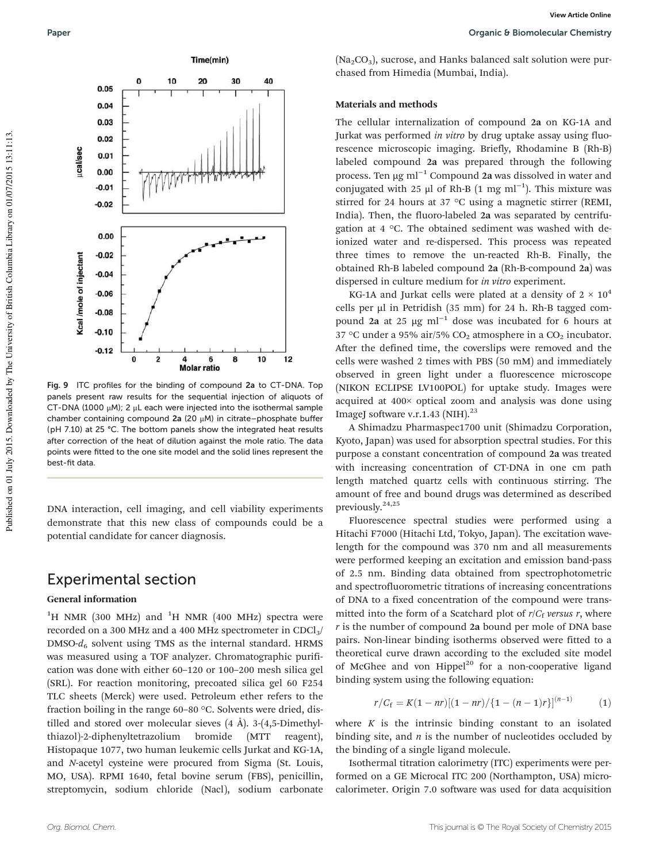

Fig. 9 ITC profiles for the binding of compound 2a to CT-DNA. Top panels present raw results for the sequential injection of aliquots of CT-DNA (1000  $\mu$ M); 2  $\mu$ L each were injected into the isothermal sample chamber containing compound 2a (20 μM) in citrate–phosphate buffer (pH 7.10) at 25 °C. The bottom panels show the integrated heat results after correction of the heat of dilution against the mole ratio. The data points were fitted to the one site model and the solid lines represent the best-fit data.

DNA interaction, cell imaging, and cell viability experiments demonstrate that this new class of compounds could be a potential candidate for cancer diagnosis.

## Experimental section

#### General information

<sup>1</sup>H NMR (300 MHz) and <sup>1</sup>H NMR (400 MHz) spectra were recorded on a 300 MHz and a 400 MHz spectrometer in CDCl<sub>3</sub>/  $DMSO-d<sub>6</sub>$  solvent using TMS as the internal standard. HRMS was measured using a TOF analyzer. Chromatographic purification was done with either 60–120 or 100–200 mesh silica gel (SRL). For reaction monitoring, precoated silica gel 60 F254 TLC sheets (Merck) were used. Petroleum ether refers to the fraction boiling in the range 60–80 °C. Solvents were dried, distilled and stored over molecular sieves  $(4 \text{ Å})$ . 3- $(4,5\text{-Dimethyl-}$ thiazol)-2-diphenyltetrazolium bromide (MTT reagent), Histopaque 1077, two human leukemic cells Jurkat and KG-1A, and *N*-acetyl cysteine were procured from Sigma (St. Louis, MO, USA). RPMI 1640, fetal bovine serum (FBS), penicillin, streptomycin, sodium chloride (Nacl), sodium carbonate

 $(Na<sub>2</sub>CO<sub>3</sub>)$ , sucrose, and Hanks balanced salt solution were purchased from Himedia (Mumbai, India).

#### Materials and methods

The cellular internalization of compound 2a on KG-1A and Jurkat was performed *in vitro* by drug uptake assay using fluorescence microscopic imaging. Briefly, Rhodamine B (Rh-B) labeled compound 2a was prepared through the following process. Ten  $\mu$ g ml<sup>-1</sup> Compound 2a was dissolved in water and conjugated with 25 μl of Rh-B (1 mg ml<sup>-1</sup>). This mixture was stirred for 24 hours at 37 °C using a magnetic stirrer (REMI, India). Then, the fluoro-labeled 2a was separated by centrifugation at 4 °C. The obtained sediment was washed with deionized water and re-dispersed. This process was repeated three times to remove the un-reacted Rh-B. Finally, the obtained Rh-B labeled compound 2a (Rh-B-compound 2a) was dispersed in culture medium for *in vitro* experiment.

KG-1A and Jurkat cells were plated at a density of  $2 \times 10^4$ cells per µl in Petridish (35 mm) for 24 h. Rh-B tagged compound 2a at 25 µg ml−<sup>1</sup> dose was incubated for 6 hours at 37 °C under a 95% air/5%  $CO<sub>2</sub>$  atmosphere in a  $CO<sub>2</sub>$  incubator. After the defined time, the coverslips were removed and the cells were washed 2 times with PBS (50 mM) and immediately observed in green light under a fluorescence microscope (NIKON ECLIPSE LV100POL) for uptake study. Images were acquired at 400× optical zoom and analysis was done using ImageJ software v.r.1.43 (NIH).<sup>23</sup>

A Shimadzu Pharmaspec1700 unit (Shimadzu Corporation, Kyoto, Japan) was used for absorption spectral studies. For this purpose a constant concentration of compound 2a was treated with increasing concentration of CT-DNA in one cm path length matched quartz cells with continuous stirring. The amount of free and bound drugs was determined as described previously.24,25

Fluorescence spectral studies were performed using a Hitachi F7000 (Hitachi Ltd, Tokyo, Japan). The excitation wavelength for the compound was 370 nm and all measurements were performed keeping an excitation and emission band-pass of 2.5 nm. Binding data obtained from spectrophotometric and spectrofluorometric titrations of increasing concentrations of DNA to a fixed concentration of the compound were transmitted into the form of a Scatchard plot of  $r/C_f$  versus r, where *r* is the number of compound 2a bound per mole of DNA base pairs. Non-linear binding isotherms observed were fitted to a theoretical curve drawn according to the excluded site model of McGhee and von Hippel $^{20}$  for a non-cooperative ligand binding system using the following equation:

$$
r/C_f = K(1-nr)[(1-nr)/\{1-(n-1)r\}]^{(n-1)}
$$
 (1)

where  $K$  is the intrinsic binding constant to an isolated binding site, and *n* is the number of nucleotides occluded by the binding of a single ligand molecule.

Isothermal titration calorimetry (ITC) experiments were performed on a GE Microcal ITC 200 (Northampton, USA) microcalorimeter. Origin 7.0 software was used for data acquisition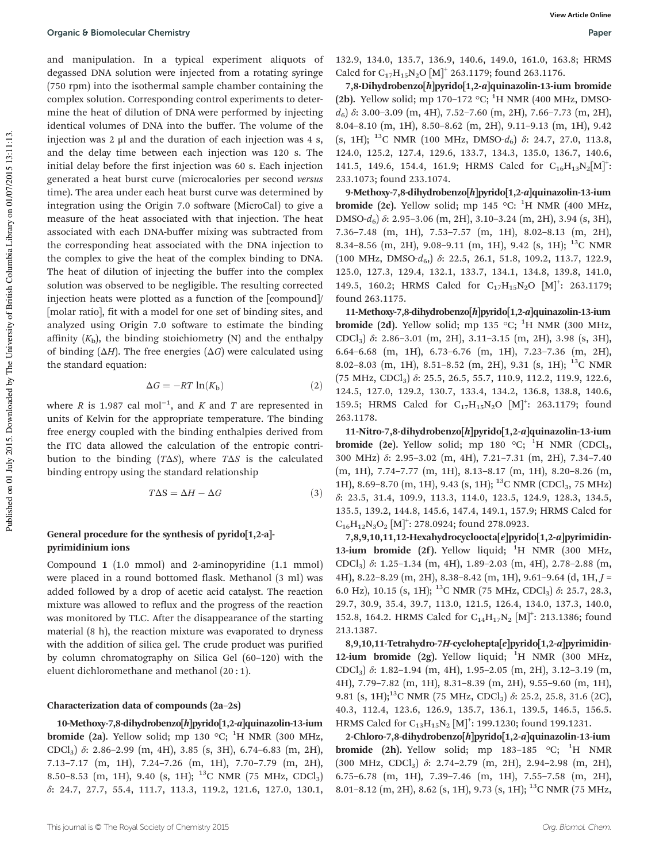and manipulation. In a typical experiment aliquots of degassed DNA solution were injected from a rotating syringe (750 rpm) into the isothermal sample chamber containing the complex solution. Corresponding control experiments to determine the heat of dilution of DNA were performed by injecting identical volumes of DNA into the buffer. The volume of the injection was 2 μl and the duration of each injection was 4 s, and the delay time between each injection was 120 s. The initial delay before the first injection was 60 s. Each injection generated a heat burst curve (microcalories per second *versus* time). The area under each heat burst curve was determined by integration using the Origin 7.0 software (MicroCal) to give a measure of the heat associated with that injection. The heat associated with each DNA-buffer mixing was subtracted from the corresponding heat associated with the DNA injection to the complex to give the heat of the complex binding to DNA. The heat of dilution of injecting the buffer into the complex solution was observed to be negligible. The resulting corrected injection heats were plotted as a function of the [compound]/ [molar ratio], fit with a model for one set of binding sites, and analyzed using Origin 7.0 software to estimate the binding affinity  $(K<sub>b</sub>)$ , the binding stoichiometry  $(N)$  and the enthalpy of binding  $(\Delta H)$ . The free energies  $(\Delta G)$  were calculated using the standard equation:

$$
\Delta G = -RT \ln(K_{\rm b}) \tag{2}
$$

where *R* is 1.987 cal mol<sup>-1</sup>, and *K* and *T* are represented in units of Kelvin for the appropriate temperature. The binding free energy coupled with the binding enthalpies derived from the ITC data allowed the calculation of the entropic contribution to the binding (*T*Δ*S*), where *T*Δ*S* is the calculated binding entropy using the standard relationship

$$
T\Delta S = \Delta H - \Delta G \tag{3}
$$

#### General procedure for the synthesis of pyrido[1,2-a] pyrimidinium ions

Compound 1 (1.0 mmol) and 2-aminopyridine (1.1 mmol) were placed in a round bottomed flask. Methanol (3 ml) was added followed by a drop of acetic acid catalyst. The reaction mixture was allowed to reflux and the progress of the reaction was monitored by TLC. After the disappearance of the starting material (8 h), the reaction mixture was evaporated to dryness with the addition of silica gel. The crude product was purified by column chromatography on Silica Gel (60–120) with the eluent dichloromethane and methanol (20 : 1).

#### Characterization data of compounds (2a–2s)

10-Methoxy-7,8-dihydrobenzo[h]pyrido[1,2-a]quinazolin-13-ium **bromide** (2a). Yellow solid; mp 130  $^{\circ}$ C; <sup>1</sup>H NMR (300 MHz, CDCl3) δ: 2.86–2.99 (m, 4H), 3.85 (s, 3H), 6.74–6.83 (m, 2H), 7.13–7.17 (m, 1H), 7.24–7.26 (m, 1H), 7.70–7.79 (m, 2H), 8.50-8.53 (m, 1H), 9.40 (s, 1H); <sup>13</sup>C NMR (75 MHz, CDCl<sub>3</sub>) δ: 24.7, 27.7, 55.4, 111.7, 113.3, 119.2, 121.6, 127.0, 130.1, 132.9, 134.0, 135.7, 136.9, 140.6, 149.0, 161.0, 163.8; HRMS Calcd for  $C_{17}H_{15}N_2O$  [M]<sup>+</sup> 263.1179; found 263.1176.

7,8-Dihydrobenzo[h]pyrido[1,2-a]quinazolin-13-ium bromide (2b). Yellow solid; mp 170–172  $\mathrm{^{\circ}C}$ ; <sup>1</sup>H NMR (400 MHz, DMSO*d*6) δ: 3.00–3.09 (m, 4H), 7.52–7.60 (m, 2H), 7.66–7.73 (m, 2H), 8.04–8.10 (m, 1H), 8.50–8.62 (m, 2H), 9.11–9.13 (m, 1H), 9.42 (s, 1H); <sup>13</sup>C NMR (100 MHz, DMSO-*d*6) δ: 24.7, 27.0, 113.8, 124.0, 125.2, 127.4, 129.6, 133.7, 134.3, 135.0, 136.7, 140.6, 141.5, 149.6, 154.4, 161.9; HRMS Calcd for  $C_{16}H_{13}N_2[M]^+$ : 233.1073; found 233.1074.

9-Methoxy-7,8-dihydrobenzo[h]pyrido[1,2-a]quinazolin-13-ium **bromide (2c).** Yellow solid; mp 145 °C: <sup>1</sup>H NMR (400 MHz, DMSO-*d*6) δ: 2.95–3.06 (m, 2H), 3.10–3.24 (m, 2H), 3.94 (s, 3H), 7.36–7.48 (m, 1H), 7.53–7.57 (m, 1H), 8.02–8.13 (m, 2H), 8.34–8.56 (m, 2H), 9.08–9.11 (m, 1H), 9.42 (s, 1H); <sup>13</sup>C NMR (100 MHz, DMSO-d<sub>6</sub>,) δ: 22.5, 26.1, 51.8, 109.2, 113.7, 122.9, 125.0, 127.3, 129.4, 132.1, 133.7, 134.1, 134.8, 139.8, 141.0, 149.5, 160.2; HRMS Calcd for  $C_{17}H_{15}N_2O$  [M]<sup>+</sup>: 263.1179; found 263.1175.

11-Methoxy-7,8-dihydrobenzo[h]pyrido[1,2-a]quinazolin-13-ium **bromide (2d).** Yellow solid; mp 135 °C; <sup>1</sup>H NMR (300 MHz, CDCl3) δ: 2.86–3.01 (m, 2H), 3.11–3.15 (m, 2H), 3.98 (s, 3H), 6.64–6.68 (m, 1H), 6.73–6.76 (m, 1H), 7.23–7.36 (m, 2H), 8.02–8.03 (m, 1H), 8.51–8.52 (m, 2H), 9.31 (s, 1H); <sup>13</sup>C NMR (75 MHz, CDCl3) δ: 25.5, 26.5, 55.7, 110.9, 112.2, 119.9, 122.6, 124.5, 127.0, 129.2, 130.7, 133.4, 134.2, 136.8, 138.8, 140.6, 159.5; HRMS Calcd for  $C_{17}H_{15}N_2O$   $[M]^+$ : 263.1179; found 263.1178.

11-Nitro-7,8-dihydrobenzo[h]pyrido[1,2-a]quinazolin-13-ium **bromide** (2e). Yellow solid; mp 180  $\degree$ C; <sup>1</sup>H NMR (CDCl<sub>3</sub>, 300 MHz) δ: 2.95–3.02 (m, 4H), 7.21–7.31 (m, 2H), 7.34–7.40 (m, 1H), 7.74–7.77 (m, 1H), 8.13–8.17 (m, 1H), 8.20–8.26 (m, 1H), 8.69-8.70 (m, 1H), 9.43 (s, 1H); <sup>13</sup>C NMR (CDCl<sub>3</sub>, 75 MHz) δ: 23.5, 31.4, 109.9, 113.3, 114.0, 123.5, 124.9, 128.3, 134.5, 135.5, 139.2, 144.8, 145.6, 147.4, 149.1, 157.9; HRMS Calcd for  $C_{16}H_{12}N_3O_2$  [M]<sup>+</sup>: 278.0924; found 278.0923.

7,8,9,10,11,12-Hexahydrocycloocta[e]pyrido[1,2-a]pyrimidin-13-ium bromide (2f). Yellow liquid;  ${}^{1}H$  NMR (300 MHz, CDCl3) δ: 1.25–1.34 (m, 4H), 1.89–2.03 (m, 4H), 2.78–2.88 (m, 4H), 8.22–8.29 (m, 2H), 8.38–8.42 (m, 1H), 9.61–9.64 (d, 1H, *J* = 6.0 Hz), 10.15 (s, 1H); <sup>13</sup>C NMR (75 MHz, CDCl<sub>3</sub>)  $\delta$ : 25.7, 28.3, 29.7, 30.9, 35.4, 39.7, 113.0, 121.5, 126.4, 134.0, 137.3, 140.0, 152.8, 164.2. HRMS Calcd for  $C_{14}H_{17}N_2$  [M]<sup>+</sup>: 213.1386; found 213.1387.

8,9,10,11-Tetrahydro-7H-cyclohepta[e]pyrido[1,2-a]pyrimidin-12-ium bromide (2g). Yellow liquid;  ${}^{1}H$  NMR (300 MHz, CDCl3) δ: 1.82–1.94 (m, 4H), 1.95–2.05 (m, 2H), 3.12–3.19 (m, 4H), 7.79–7.82 (m, 1H), 8.31–8.39 (m, 2H), 9.55–9.60 (m, 1H), 9.81 (s, 1H);<sup>13</sup>C NMR (75 MHz, CDCl<sub>3</sub>)  $\delta$ : 25.2, 25.8, 31.6 (2C), 40.3, 112.4, 123.6, 126.9, 135.7, 136.1, 139.5, 146.5, 156.5. HRMS Calcd for  $C_{13}H_{15}N_2$  [M]<sup>+</sup>: 199.1230; found 199.1231.

2-Chloro-7,8-dihydrobenzo[h]pyrido[1,2-a]quinazolin-13-ium **bromide** (2h). Yellow solid; mp 183-185  $^{\circ}$ C; <sup>1</sup>H NMR (300 MHz, CDCl<sub>3</sub>)  $\delta$ : 2.74-2.79 (m, 2H), 2.94-2.98 (m, 2H), 6.75–6.78 (m, 1H), 7.39–7.46 (m, 1H), 7.55–7.58 (m, 2H), 8.01–8.12 (m, 2H), 8.62 (s, 1H), 9.73 (s, 1H); <sup>13</sup>C NMR (75 MHz,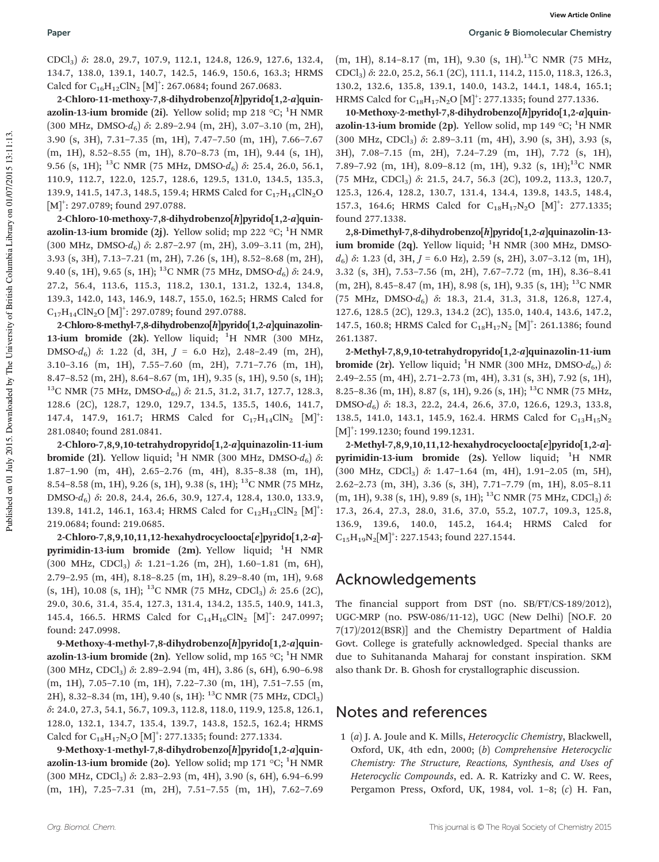CDCl3) δ: 28.0, 29.7, 107.9, 112.1, 124.8, 126.9, 127.6, 132.4, 134.7, 138.0, 139.1, 140.7, 142.5, 146.9, 150.6, 163.3; HRMS Calcd for  $C_{16}H_{12}CIN_2$  [M]<sup>+</sup>: 267.0684; found 267.0683.

2-Chloro-11-methoxy-7,8-dihydrobenzo[h]pyrido[1,2-a]quinazolin-13-ium bromide (2i). Yellow solid; mp 218  $\,^{\circ}$ C; <sup>1</sup>H NMR (300 MHz, DMSO- $d_6$ )  $\delta$ : 2.89–2.94 (m, 2H), 3.07–3.10 (m, 2H), 3.90 (s, 3H), 7.31–7.35 (m, 1H), 7.47–7.50 (m, 1H), 7.66–7.67 (m, 1H), 8.52–8.55 (m, 1H), 8.70–8.73 (m, 1H), 9.44 (s, 1H), 9.56 (s, 1H); <sup>13</sup>C NMR (75 MHz, DMSO- $d_6$ )  $\delta$ : 25.4, 26.0, 56.1, 110.9, 112.7, 122.0, 125.7, 128.6, 129.5, 131.0, 134.5, 135.3, 139.9, 141.5, 147.3, 148.5, 159.4; HRMS Calcd for C<sub>17</sub>H<sub>14</sub>ClN<sub>2</sub>O  $[M]^{\dagger}$ : 297.0789; found 297.0788.

2-Chloro-10-methoxy-7,8-dihydrobenzo[h]pyrido[1,2-a]quinazolin-13-ium bromide (2j). Yellow solid; mp 222  $\,^{\circ}\text{C}$ ; <sup>1</sup>H NMR (300 MHz, DMSO-*d*6) δ: 2.87–2.97 (m, 2H), 3.09–3.11 (m, 2H), 3.93 (s, 3H), 7.13–7.21 (m, 2H), 7.26 (s, 1H), 8.52–8.68 (m, 2H), 9.40 (s, 1H), 9.65 (s, 1H); <sup>13</sup>C NMR (75 MHz, DMSO- $d_6$ ) δ: 24.9, 27.2, 56.4, 113.6, 115.3, 118.2, 130.1, 131.2, 132.4, 134.8, 139.3, 142.0, 143, 146.9, 148.7, 155.0, 162.5; HRMS Calcd for  $\text{C}_{17}\text{H}_{14}\text{CIN}_2\text{O} \left[\text{M}\right]^+$ : 297.0789; found 297.0788.

2-Chloro-8-methyl-7,8-dihydrobenzo[h]pyrido[1,2-a]quinazolin-13-ium bromide (2k). Yellow liquid;  ${}^{1}H$  NMR (300 MHz, DMSO-*d*6) δ: 1.22 (d, 3H, *J* = 6.0 Hz), 2.48–2.49 (m, 2H), 3.10–3.16 (m, 1H), 7.55–7.60 (m, 2H), 7.71–7.76 (m, 1H), 8.47–8.52 (m, 2H), 8.64–8.67 (m, 1H), 9.35 (s, 1H), 9.50 (s, 1H); <sup>13</sup>C NMR (75 MHz, DMSO- $d_{6}$ )  $\delta$ : 21.5, 31.2, 31.7, 127.7, 128.3, 128.6 (2C), 128.7, 129.0, 129.7, 134.5, 135.5, 140.6, 141.7, 147.4, 147.9, 161.7; HRMS Calcd for  $C_{17}H_{14}CIN_2$   $[M]^{\dagger}$ : 281.0840; found 281.0841.

2-Chloro-7,8,9,10-tetrahydropyrido[1,2-a]quinazolin-11-ium **bromide (2l).** Yellow liquid; <sup>1</sup>H NMR (300 MHz, DMSO- $d_6$ ) δ: 1.87–1.90 (m, 4H), 2.65–2.76 (m, 4H), 8.35–8.38 (m, 1H), 8.54–8.58 (m, 1H), 9.26 (s, 1H), 9.38 (s, 1H); <sup>13</sup>C NMR (75 MHz, DMSO-*d*6) δ: 20.8, 24.4, 26.6, 30.9, 127.4, 128.4, 130.0, 133.9, 139.8, 141.2, 146.1, 163.4; HRMS Calcd for  $C_{12}H_{12}CIN_2$   $[M]^{\dagger}$ : 219.0684; found: 219.0685.

2-Chloro-7,8,9,10,11,12-hexahydrocycloocta[e]pyrido[1,2-a] pyrimidin-13-ium bromide (2m). Yellow liquid;  ${}^{1}$ H NMR (300 MHz, CDCl3) δ: 1.21–1.26 (m, 2H), 1.60–1.81 (m, 6H), 2.79–2.95 (m, 4H), 8.18–8.25 (m, 1H), 8.29–8.40 (m, 1H), 9.68 (s, 1H), 10.08 (s, 1H); <sup>13</sup>C NMR (75 MHz, CDCl<sub>3</sub>)  $\delta$ : 25.6 (2C), 29.0, 30.6, 31.4, 35.4, 127.3, 131.4, 134.2, 135.5, 140.9, 141.3, 145.4, 166.5. HRMS Calcd for  $C_{14}H_{16}C/N_2$  [M]<sup>+</sup>: 247.0997; found: 247.0998.

9-Methoxy-4-methyl-7,8-dihydrobenzo[h]pyrido[1,2-a]quinazolin-13-ium bromide (2n). Yellow solid, mp 165 °C; <sup>1</sup>H NMR (300 MHz, CDCl<sub>3</sub>)  $\delta$ : 2.89-2.94 (m, 4H), 3.86 (s, 6H), 6.90-6.98 (m, 1H), 7.05–7.10 (m, 1H), 7.22–7.30 (m, 1H), 7.51–7.55 (m, 2H), 8.32-8.34 (m, 1H), 9.40 (s, 1H): <sup>13</sup>C NMR (75 MHz, CDCl<sub>3</sub>) δ: 24.0, 27.3, 54.1, 56.7, 109.3, 112.8, 118.0, 119.9, 125.8, 126.1, 128.0, 132.1, 134.7, 135.4, 139.7, 143.8, 152.5, 162.4; HRMS Calcd for  $C_{18}H_{17}N_2O [M]^2$ : 277.1335; found: 277.1334.

9-Methoxy-1-methyl-7,8-dihydrobenzo[h]pyrido[1,2-a]quinazolin-13-ium bromide (20). Yellow solid; mp 171  $\mathrm{^{\circ}C}$ ; <sup>1</sup>H NMR (300 MHz, CDCl<sub>3</sub>)  $\delta$ : 2.83-2.93 (m, 4H), 3.90 (s, 6H), 6.94-6.99 (m, 1H), 7.25–7.31 (m, 2H), 7.51–7.55 (m, 1H), 7.62–7.69

 $(m, 1H)$ , 8.14-8.17  $(m, 1H)$ , 9.30  $(s, 1H)$ .<sup>13</sup>C NMR (75 MHz, CDCl3) δ: 22.0, 25.2, 56.1 (2C), 111.1, 114.2, 115.0, 118.3, 126.3, 130.2, 132.6, 135.8, 139.1, 140.0, 143.2, 144.1, 148.4, 165.1; HRMS Calcd for  $C_{18}H_{17}N_2O [M]^2$ : 277.1335; found 277.1336.

10-Methoxy-2-methyl-7,8-dihydrobenzo[h]pyrido[1,2-a]quinazolin-13-ium bromide (2p). Yellow solid, mp 149  $\mathrm{^{\circ}C}$ ; <sup>1</sup>H NMR (300 MHz, CDCl<sub>3</sub>)  $\delta$ : 2.89-3.11 (m, 4H), 3.90 (s, 3H), 3.93 (s, 3H), 7.08–7.15 (m, 2H), 7.24–7.29 (m, 1H), 7.72 (s, 1H), 7.89–7.92 (m, 1H), 8.09–8.12 (m, 1H), 9.32 (s, 1H);<sup>13</sup>C NMR (75 MHz, CDCl3) δ: 21.5, 24.7, 56.3 (2C), 109.2, 113.3, 120.7, 125.3, 126.4, 128.2, 130.7, 131.4, 134.4, 139.8, 143.5, 148.4, 157.3, 164.6; HRMS Calcd for  $C_{18}H_{17}N_2O$  [M]<sup>+</sup>: 277.1335; found 277.1338.

2,8-Dimethyl-7,8-dihydrobenzo[h]pyrido[1,2-a]quinazolin-13 ium bromide (2q). Yellow liquid;  ${}^{1}H$  NMR (300 MHz, DMSO*d*6) δ: 1.23 (d, 3H, *J* = 6.0 Hz), 2.59 (s, 2H), 3.07–3.12 (m, 1H), 3.32 (s, 3H), 7.53–7.56 (m, 2H), 7.67–7.72 (m, 1H), 8.36–8.41 (m, 2H), 8.45–8.47 (m, 1H), 8.98 (s, 1H), 9.35 (s, 1H); <sup>13</sup>C NMR (75 MHz, DMSO-*d*6) δ: 18.3, 21.4, 31.3, 31.8, 126.8, 127.4, 127.6, 128.5 (2C), 129.3, 134.2 (2C), 135.0, 140.4, 143.6, 147.2, 147.5, 160.8; HRMS Calcd for  $C_{18}H_{17}N_2$  [M]<sup>+</sup>: 261.1386; found 261.1387.

2-Methyl-7,8,9,10-tetrahydropyrido[1,2-a]quinazolin-11-ium **bromide (2r).** Yellow liquid; <sup>1</sup>H NMR (300 MHz, DMSO- $d_{6}$ )  $\delta$ : 2.49–2.55 (m, 4H), 2.71–2.73 (m, 4H), 3.31 (s, 3H), 7.92 (s, 1H), 8.25–8.36 (m, 1H), 8.87 (s, 1H), 9.26 (s, 1H); <sup>13</sup>C NMR (75 MHz, DMSO-*d*6) δ: 18.3, 22.2, 24.4, 26.6, 37.0, 126.6, 129.3, 133.8, 138.5, 141.0, 143.1, 145.9, 162.4. HRMS Calcd for  $C_{13}H_{15}N_2$ [M]<sup>+</sup>: 199.1230; found 199.1231.

2-Methyl-7,8,9,10,11,12-hexahydrocycloocta[e]pyrido[1,2-a] pyrimidin-13-ium bromide (2s). Yellow liquid;  ${}^{1}H$  NMR (300 MHz, CDCl<sub>3</sub>)  $\delta$ : 1.47-1.64 (m, 4H), 1.91-2.05 (m, 5H), 2.62–2.73 (m, 3H), 3.36 (s, 3H), 7.71–7.79 (m, 1H), 8.05–8.11  $(m, 1H)$ , 9.38 (s, 1H), 9.89 (s, 1H); <sup>13</sup>C NMR (75 MHz, CDCl<sub>3</sub>)  $\delta$ : 17.3, 26.4, 27.3, 28.0, 31.6, 37.0, 55.2, 107.7, 109.3, 125.8, 136.9, 139.6, 140.0, 145.2, 164.4; HRMS Calcd for  $C_{15}H_{19}N_2[M]^2$ : 227.1543; found 227.1544.

## Acknowledgements

The financial support from DST (no. SB/FT/CS-189/2012), UGC-MRP (no. PSW-086/11-12), UGC (New Delhi) [NO.F. 20 7(17)/2012(BSR)] and the Chemistry Department of Haldia Govt. College is gratefully acknowledged. Special thanks are due to Suhitananda Maharaj for constant inspiration. SKM also thank Dr. B. Ghosh for crystallographic discussion.

## Notes and references

1 (*a*) J. A. Joule and K. Mills, *Heterocyclic Chemistry*, Blackwell, Oxford, UK, 4th edn, 2000; (*b*) *Comprehensive Heterocyclic Chemistry: The Structure, Reactions, Synthesis, and Uses of Heterocyclic Compounds*, ed. A. R. Katrizky and C. W. Rees, Pergamon Press, Oxford, UK, 1984, vol. 1–8; (*c*) H. Fan,